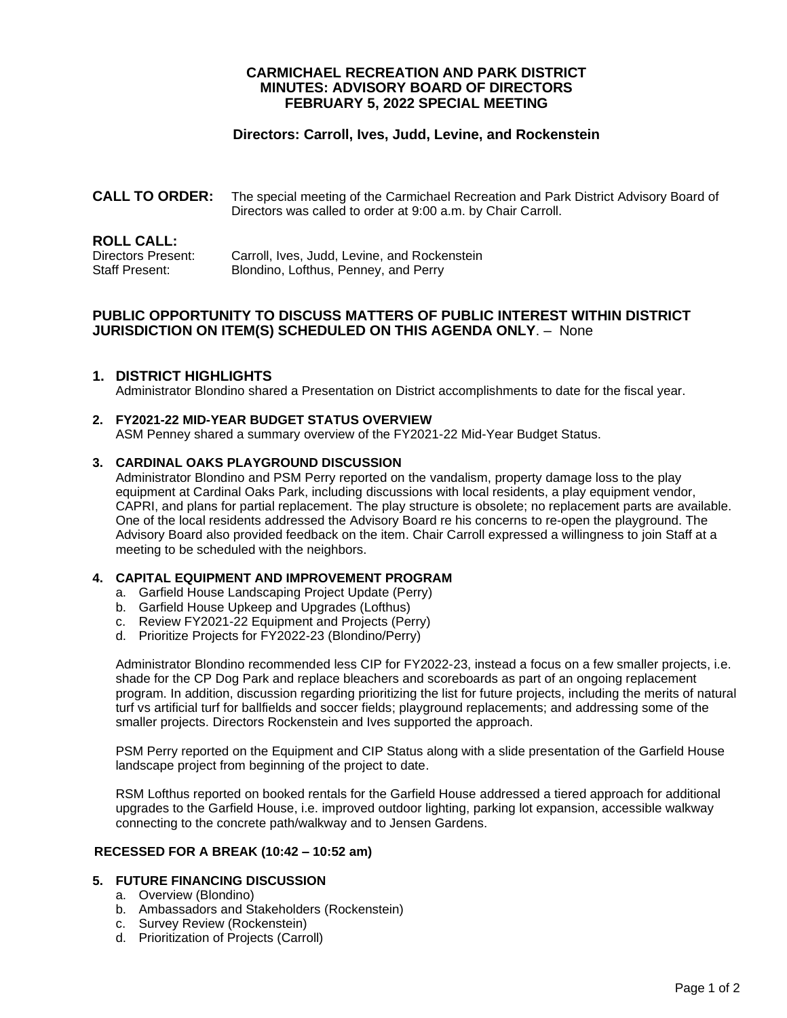## **CARMICHAEL RECREATION AND PARK DISTRICT MINUTES: ADVISORY BOARD OF DIRECTORS FEBRUARY 5, 2022 SPECIAL MEETING**

# **Directors: Carroll, Ives, Judd, Levine, and Rockenstein**

**CALL TO ORDER:** The special meeting of the Carmichael Recreation and Park District Advisory Board of Directors was called to order at 9:00 a.m. by Chair Carroll.

| <b>ROLL CALL:</b>  |                                              |
|--------------------|----------------------------------------------|
| Directors Present: | Carroll, Ives, Judd, Levine, and Rockenstein |
| Staff Present:     | Blondino, Lofthus, Penney, and Perry         |

# **PUBLIC OPPORTUNITY TO DISCUSS MATTERS OF PUBLIC INTEREST WITHIN DISTRICT JURISDICTION ON ITEM(S) SCHEDULED ON THIS AGENDA ONLY**. – None

## **1. DISTRICT HIGHLIGHTS**

Administrator Blondino shared a Presentation on District accomplishments to date for the fiscal year.

## **2. FY2021-22 MID-YEAR BUDGET STATUS OVERVIEW**

ASM Penney shared a summary overview of the FY2021-22 Mid-Year Budget Status.

### **3. CARDINAL OAKS PLAYGROUND DISCUSSION**

Administrator Blondino and PSM Perry reported on the vandalism, property damage loss to the play equipment at Cardinal Oaks Park, including discussions with local residents, a play equipment vendor, CAPRI, and plans for partial replacement. The play structure is obsolete; no replacement parts are available. One of the local residents addressed the Advisory Board re his concerns to re-open the playground. The Advisory Board also provided feedback on the item. Chair Carroll expressed a willingness to join Staff at a meeting to be scheduled with the neighbors.

### **4. CAPITAL EQUIPMENT AND IMPROVEMENT PROGRAM**

- a. Garfield House Landscaping Project Update (Perry)
- b. Garfield House Upkeep and Upgrades (Lofthus)
- c. Review FY2021-22 Equipment and Projects (Perry)
- d. Prioritize Projects for FY2022-23 (Blondino/Perry)

Administrator Blondino recommended less CIP for FY2022-23, instead a focus on a few smaller projects, i.e. shade for the CP Dog Park and replace bleachers and scoreboards as part of an ongoing replacement program. In addition, discussion regarding prioritizing the list for future projects, including the merits of natural turf vs artificial turf for ballfields and soccer fields; playground replacements; and addressing some of the smaller projects. Directors Rockenstein and Ives supported the approach.

PSM Perry reported on the Equipment and CIP Status along with a slide presentation of the Garfield House landscape project from beginning of the project to date.

RSM Lofthus reported on booked rentals for the Garfield House addressed a tiered approach for additional upgrades to the Garfield House, i.e. improved outdoor lighting, parking lot expansion, accessible walkway connecting to the concrete path/walkway and to Jensen Gardens.

## **RECESSED FOR A BREAK (10:42 – 10:52 am)**

## **5. FUTURE FINANCING DISCUSSION**

- a. Overview (Blondino)
- b. Ambassadors and Stakeholders (Rockenstein)
- c. Survey Review (Rockenstein)
- d. Prioritization of Projects (Carroll)